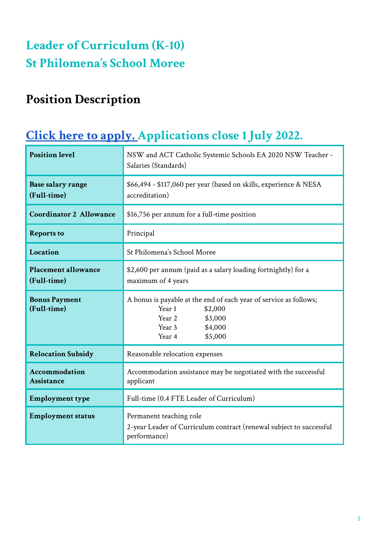# **Leader of Curriculum (K-10) St Philomena ' s School Moree**

## **Position Description**

## **Click here to [apply.](https://www.surveymonkey.com/r/TBXZ7P5) Applications close 1 July 2022.**

| <b>Position level</b>                     | NSW and ACT Catholic Systemic Schools EA 2020 NSW Teacher -<br>Salaries (Standards)                                                                   |
|-------------------------------------------|-------------------------------------------------------------------------------------------------------------------------------------------------------|
| <b>Base salary range</b><br>(Full-time)   | \$66,494 - \$117,060 per year (based on skills, experience & NESA<br>accreditation)                                                                   |
| <b>Coordinator 2 Allowance</b>            | \$16,756 per annum for a full-time position                                                                                                           |
| <b>Reports to</b>                         | Principal                                                                                                                                             |
| Location                                  | St Philomena's School Moree                                                                                                                           |
| <b>Placement allowance</b><br>(Full-time) | \$2,600 per annum (paid as a salary loading fortnightly) for a<br>maximum of 4 years                                                                  |
| <b>Bonus Payment</b><br>(Full-time)       | A bonus is payable at the end of each year of service as follows;<br>Year 1<br>\$2,000<br>Year 2<br>\$3,000<br>Year 3<br>\$4,000<br>\$5,000<br>Year 4 |
| <b>Relocation Subsidy</b>                 | Reasonable relocation expenses                                                                                                                        |
| <b>Accommodation</b><br><b>Assistance</b> | Accommodation assistance may be negotiated with the successful<br>applicant                                                                           |
| <b>Employment type</b>                    | Full-time (0.4 FTE Leader of Curriculum)                                                                                                              |
| <b>Employment status</b>                  | Permanent teaching role<br>2-year Leader of Curriculum contract (renewal subject to successful<br>performance)                                        |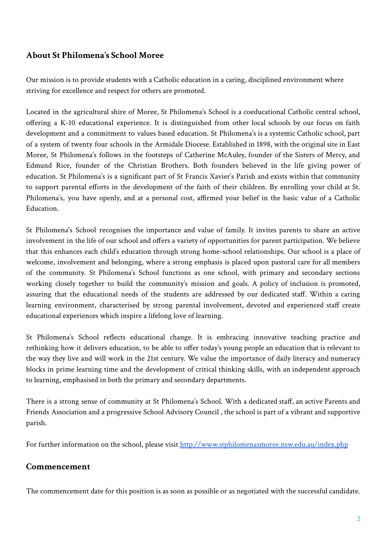#### **About St Philomena's School Moree**

Our mission is to provide students with a Catholic education in a caring, disciplined environment where striving for excellence and respect for others are promoted.

Located in the agricultural shire of Moree, St Philomena's School is a coeducational Catholic central school, offering a K-10 educational experience. It is distinguished from other local schools by our focus on faith development and a commitment to values based education. St Philomena's is a systemic Catholic school, part of a system of twenty four schools in the Armidale Diocese. Established in 1898, with the original site in East Moree, St Philomena's follows in the footsteps of Catherine McAuley, founder of the Sisters of Mercy, and Edmund Rice, founder of the Christian Brothers. Both founders believed in the life giving power of education. St Philomena's is a significant part of St Francis Xavier's Parish and exists within that community to support parental efforts in the development of the faith of their children. By enrolling your child at St. Philomena's, you have openly, and at a personal cost, affirmed your belief in the basic value of a Catholic Education.

St Philomena's School recognises the importance and value of family. It invites parents to share an active involvement in the life of our school and offers a variety of opportunities for parent participation. We believe that this enhances each child's education through strong home-school relationships. Our school is a place of welcome, involvement and belonging, where a strong emphasis is placed upon pastoral care for all members of the community. St Philomena's School functions as one school, with primary and secondary sections working closely together to build the community's mission and goals. A policy of inclusion is promoted, assuring that the educational needs of the students are addressed by our dedicated staff. Within a caring learning environment, characterised by strong parental involvement, devoted and experienced staff create educational experiences which inspire a lifelong love of learning.

St Philomena's School reflects educational change. It is embracing innovative teaching practice and rethinking how it delivers education, to be able to offer today's young people an education that is relevant to the way they live and will work in the 21st century. We value the importance of daily literacy and numeracy blocks in prime learning time and the development of critical thinking skills, with an independent approach to learning, emphasised in both the primary and secondary departments.

There is a strong sense of community at St Philomena's School. With a dedicated staff, an active Parents and Friends Association and a progressive School Advisory Council , the school is part of a vibrant and supportive parish.

For further information on the school, please visit <http://www.stphilomenasmoree.nsw.edu.au/index.php>

#### **Commencement**

The commencement date for this position is as soon as possible or as negotiated with the successful candidate.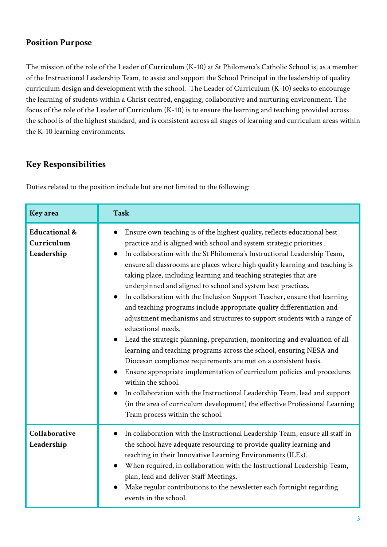### **Position Purpose**

The mission of the role of the Leader of Curriculum (K-10) at St Philomena's Catholic School is, as a member of the Instructional Leadership Team, to assist and support the School Principal in the leadership of quality curriculum design and development with the school. The Leader of Curriculum (K-10) seeks to encourage the learning of students within a Christ centred, engaging, collaborative and nurturing environment. The focus of the role of the Leader of Curriculum (K-10) is to ensure the learning and teaching provided across the school is of the highest standard, and is consistent across all stages of learning and curriculum areas within the K-10 learning environments.

### **Key Responsibilities**

Duties related to the position include but are not limited to the following:

| Key area                                             | <b>Task</b>                                                                                                                                                                                                                                                                                                                                                                                                                                                                                                                                                                                                                                                                                                                                                                                                                                                                                                                                                                                                                                                                                                                                                                                                                      |
|------------------------------------------------------|----------------------------------------------------------------------------------------------------------------------------------------------------------------------------------------------------------------------------------------------------------------------------------------------------------------------------------------------------------------------------------------------------------------------------------------------------------------------------------------------------------------------------------------------------------------------------------------------------------------------------------------------------------------------------------------------------------------------------------------------------------------------------------------------------------------------------------------------------------------------------------------------------------------------------------------------------------------------------------------------------------------------------------------------------------------------------------------------------------------------------------------------------------------------------------------------------------------------------------|
| <b>Educational &amp;</b><br>Curriculum<br>Leadership | Ensure own teaching is of the highest quality, reflects educational best<br>practice and is aligned with school and system strategic priorities.<br>In collaboration with the St Philomena's Instructional Leadership Team,<br>ensure all classrooms are places where high quality learning and teaching is<br>taking place, including learning and teaching strategies that are<br>underpinned and aligned to school and system best practices.<br>In collaboration with the Inclusion Support Teacher, ensure that learning<br>and teaching programs include appropriate quality differentiation and<br>adjustment mechanisms and structures to support students with a range of<br>educational needs.<br>Lead the strategic planning, preparation, monitoring and evaluation of all<br>learning and teaching programs across the school, ensuring NESA and<br>Diocesan compliance requirements are met on a consistent basis.<br>Ensure appropriate implementation of curriculum policies and procedures<br>within the school.<br>In collaboration with the Instructional Leadership Team, lead and support<br>(in the area of curriculum development) the effective Professional Learning<br>Team process within the school. |
| Collaborative<br>Leadership                          | In collaboration with the Instructional Leadership Team, ensure all staff in<br>the school have adequate resourcing to provide quality learning and<br>teaching in their Innovative Learning Environments (ILEs).<br>When required, in collaboration with the Instructional Leadership Team,<br>plan, lead and deliver Staff Meetings.<br>Make regular contributions to the newsletter each fortnight regarding<br>events in the school.                                                                                                                                                                                                                                                                                                                                                                                                                                                                                                                                                                                                                                                                                                                                                                                         |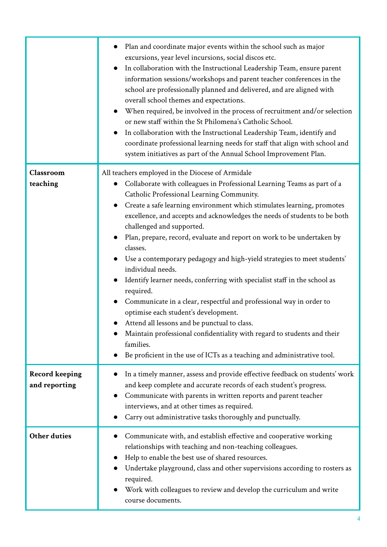|                                        | Plan and coordinate major events within the school such as major<br>$\bullet$<br>excursions, year level incursions, social discos etc.<br>In collaboration with the Instructional Leadership Team, ensure parent<br>information sessions/workshops and parent teacher conferences in the<br>school are professionally planned and delivered, and are aligned with<br>overall school themes and expectations.<br>When required, be involved in the process of recruitment and/or selection<br>or new staff within the St Philomena's Catholic School.<br>In collaboration with the Instructional Leadership Team, identify and<br>coordinate professional learning needs for staff that align with school and<br>system initiatives as part of the Annual School Improvement Plan.                                                                                                                                                                                                           |
|----------------------------------------|---------------------------------------------------------------------------------------------------------------------------------------------------------------------------------------------------------------------------------------------------------------------------------------------------------------------------------------------------------------------------------------------------------------------------------------------------------------------------------------------------------------------------------------------------------------------------------------------------------------------------------------------------------------------------------------------------------------------------------------------------------------------------------------------------------------------------------------------------------------------------------------------------------------------------------------------------------------------------------------------|
| Classroom<br>teaching                  | All teachers employed in the Diocese of Armidale<br>Collaborate with colleagues in Professional Learning Teams as part of a<br>$\bullet$<br>Catholic Professional Learning Community.<br>Create a safe learning environment which stimulates learning, promotes<br>excellence, and accepts and acknowledges the needs of students to be both<br>challenged and supported.<br>Plan, prepare, record, evaluate and report on work to be undertaken by<br>classes.<br>Use a contemporary pedagogy and high-yield strategies to meet students'<br>individual needs.<br>Identify learner needs, conferring with specialist staff in the school as<br>required.<br>Communicate in a clear, respectful and professional way in order to<br>optimise each student's development.<br>Attend all lessons and be punctual to class.<br>Maintain professional confidentiality with regard to students and their<br>families.<br>Be proficient in the use of ICTs as a teaching and administrative tool. |
| <b>Record keeping</b><br>and reporting | In a timely manner, assess and provide effective feedback on students' work<br>and keep complete and accurate records of each student's progress.<br>Communicate with parents in written reports and parent teacher<br>interviews, and at other times as required.<br>Carry out administrative tasks thoroughly and punctually.                                                                                                                                                                                                                                                                                                                                                                                                                                                                                                                                                                                                                                                             |
| <b>Other duties</b>                    | Communicate with, and establish effective and cooperative working<br>$\bullet$<br>relationships with teaching and non-teaching colleagues.<br>Help to enable the best use of shared resources.<br>Undertake playground, class and other supervisions according to rosters as<br>required.<br>Work with colleagues to review and develop the curriculum and write<br>course documents.                                                                                                                                                                                                                                                                                                                                                                                                                                                                                                                                                                                                       |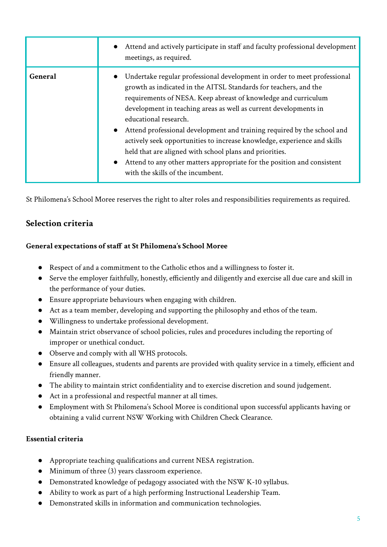|         | Attend and actively participate in staff and faculty professional development<br>meetings, as required.                                                                                                                                                                                                                                                                                                                                                                                                                                                                                                                                                    |
|---------|------------------------------------------------------------------------------------------------------------------------------------------------------------------------------------------------------------------------------------------------------------------------------------------------------------------------------------------------------------------------------------------------------------------------------------------------------------------------------------------------------------------------------------------------------------------------------------------------------------------------------------------------------------|
| General | Undertake regular professional development in order to meet professional<br>growth as indicated in the AITSL Standards for teachers, and the<br>requirements of NESA. Keep abreast of knowledge and curriculum<br>development in teaching areas as well as current developments in<br>educational research.<br>Attend professional development and training required by the school and<br>$\bullet$<br>actively seek opportunities to increase knowledge, experience and skills<br>held that are aligned with school plans and priorities.<br>Attend to any other matters appropriate for the position and consistent<br>with the skills of the incumbent. |

St Philomena's School Moree reserves the right to alter roles and responsibilities requirements as required.

## **Selection criteria**

#### **General expectations of staff at St Philomena's School Moree**

- Respect of and a commitment to the Catholic ethos and a willingness to foster it.
- Serve the employer faithfully, honestly, efficiently and diligently and exercise all due care and skill in the performance of your duties.
- Ensure appropriate behaviours when engaging with children.
- Act as a team member, developing and supporting the philosophy and ethos of the team.
- Willingness to undertake professional development.
- Maintain strict observance of school policies, rules and procedures including the reporting of improper or unethical conduct.
- Observe and comply with all WHS protocols.
- Ensure all colleagues, students and parents are provided with quality service in a timely, efficient and friendly manner.
- The ability to maintain strict confidentiality and to exercise discretion and sound judgement.
- Act in a professional and respectful manner at all times.
- Employment with St Philomena's School Moree is conditional upon successful applicants having or obtaining a valid current NSW Working with Children Check Clearance.

#### **Essential criteria**

- Appropriate teaching qualifications and current NESA registration.
- Minimum of three (3) years classroom experience.
- Demonstrated knowledge of pedagogy associated with the NSW K-10 syllabus.
- Ability to work as part of a high performing Instructional Leadership Team.
- Demonstrated skills in information and communication technologies.